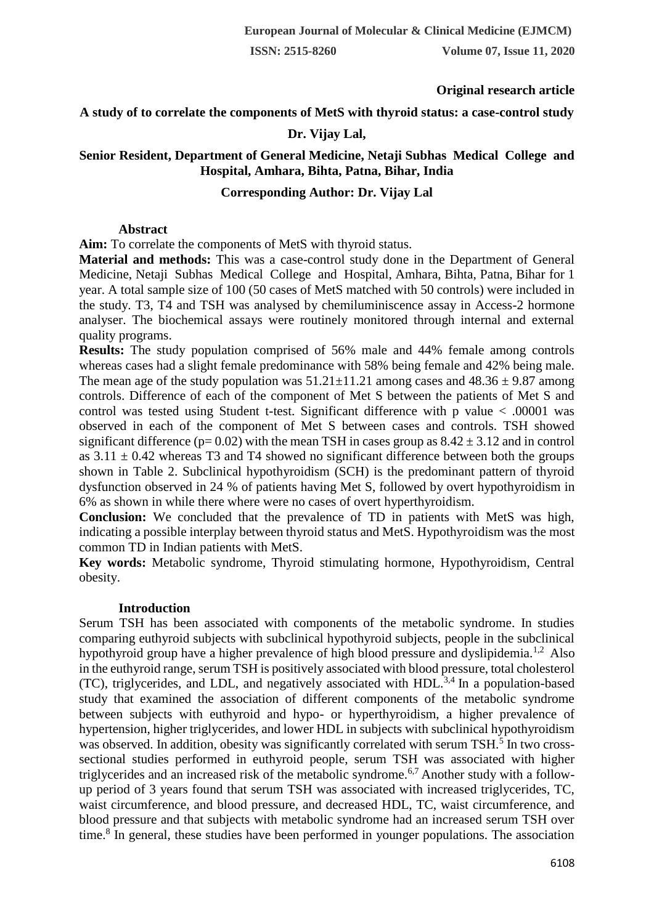# **Original research article**

## **A study of to correlate the components of MetS with thyroid status: a case-control study**

#### **Dr. Vijay Lal,**

# **Senior Resident, Department of General Medicine, Netaji Subhas Medical College and Hospital, Amhara, Bihta, Patna, Bihar, India**

# **Corresponding Author: Dr. Vijay Lal**

#### **Abstract**

**Aim:** To correlate the components of MetS with thyroid status.

**Material and methods:** This was a case-control study done in the Department of General Medicine, Netaji Subhas Medical College and Hospital, Amhara, Bihta, Patna, Bihar for 1 year. A total sample size of 100 (50 cases of MetS matched with 50 controls) were included in the study. T3, T4 and TSH was analysed by chemiluminiscence assay in Access-2 hormone analyser. The biochemical assays were routinely monitored through internal and external quality programs.

**Results:** The study population comprised of 56% male and 44% female among controls whereas cases had a slight female predominance with 58% being female and 42% being male. The mean age of the study population was  $51.21 \pm 11.21$  among cases and  $48.36 \pm 9.87$  among controls. Difference of each of the component of Met S between the patients of Met S and control was tested using Student t-test. Significant difference with p value < .00001 was observed in each of the component of Met S between cases and controls. TSH showed significant difference ( $p= 0.02$ ) with the mean TSH in cases group as  $8.42 \pm 3.12$  and in control as  $3.11 \pm 0.42$  whereas T3 and T4 showed no significant difference between both the groups shown in Table 2. Subclinical hypothyroidism (SCH) is the predominant pattern of thyroid dysfunction observed in 24 % of patients having Met S, followed by overt hypothyroidism in 6% as shown in while there where were no cases of overt hyperthyroidism.

**Conclusion:** We concluded that the prevalence of TD in patients with MetS was high, indicating a possible interplay between thyroid status and MetS. Hypothyroidism was the most common TD in Indian patients with MetS.

**Key words:** Metabolic syndrome, Thyroid stimulating hormone, Hypothyroidism, Central obesity.

#### **Introduction**

Serum TSH has been associated with components of the metabolic syndrome. In studies comparing euthyroid subjects with subclinical hypothyroid subjects, people in the subclinical hypothyroid group have a higher prevalence of high blood pressure and dyslipidemia.<sup>1,2</sup> Also in the euthyroid range, serum TSH is positively associated with blood pressure, total cholesterol (TC), triglycerides, and LDL, and negatively associated with  $HDL<sup>3,4</sup>$  In a population-based study that examined the association of different components of the metabolic syndrome between subjects with euthyroid and hypo- or hyperthyroidism, a higher prevalence of hypertension, higher triglycerides, and lower HDL in subjects with subclinical hypothyroidism was observed. In addition, obesity was significantly correlated with serum TSH.<sup>5</sup> In two crosssectional studies performed in euthyroid people, serum TSH was associated with higher triglycerides and an increased risk of the metabolic syndrome.<sup>6,7</sup> Another study with a followup period of 3 years found that serum TSH was associated with increased triglycerides, TC, waist circumference, and blood pressure, and decreased HDL, TC, waist circumference, and blood pressure and that subjects with metabolic syndrome had an increased serum TSH over time.<sup>8</sup> In general, these studies have been performed in younger populations. The association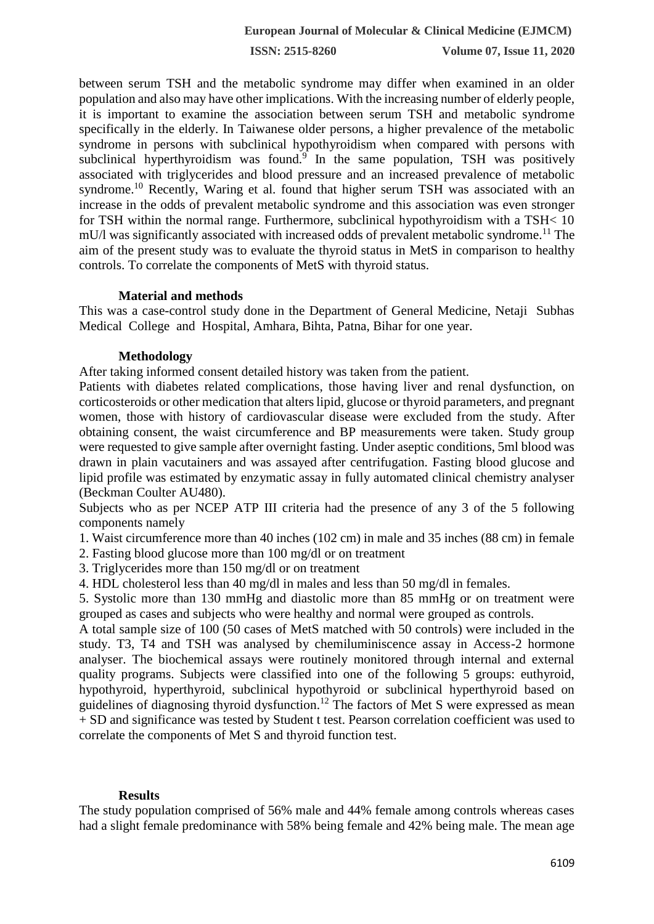**ISSN: 2515-8260 Volume 07, Issue 11, 2020**

between serum TSH and the metabolic syndrome may differ when examined in an older population and also may have other implications. With the increasing number of elderly people, it is important to examine the association between serum TSH and metabolic syndrome specifically in the elderly. In Taiwanese older persons, a higher prevalence of the metabolic syndrome in persons with subclinical hypothyroidism when compared with persons with subclinical hyperthyroidism was found.<sup>9</sup> In the same population, TSH was positively associated with triglycerides and blood pressure and an increased prevalence of metabolic syndrome.<sup>10</sup> Recently, Waring et al. found that higher serum TSH was associated with an increase in the odds of prevalent metabolic syndrome and this association was even stronger for TSH within the normal range. Furthermore, subclinical hypothyroidism with a TSH< 10  $mU/l$  was significantly associated with increased odds of prevalent metabolic syndrome.<sup>11</sup> The aim of the present study was to evaluate the thyroid status in MetS in comparison to healthy controls. To correlate the components of MetS with thyroid status.

## **Material and methods**

This was a case-control study done in the Department of General Medicine, Netaji Subhas Medical College and Hospital, Amhara, Bihta, Patna, Bihar for one year.

## **Methodology**

After taking informed consent detailed history was taken from the patient.

Patients with diabetes related complications, those having liver and renal dysfunction, on corticosteroids or other medication that alters lipid, glucose or thyroid parameters, and pregnant women, those with history of cardiovascular disease were excluded from the study. After obtaining consent, the waist circumference and BP measurements were taken. Study group were requested to give sample after overnight fasting. Under aseptic conditions, 5ml blood was drawn in plain vacutainers and was assayed after centrifugation. Fasting blood glucose and lipid profile was estimated by enzymatic assay in fully automated clinical chemistry analyser (Beckman Coulter AU480).

Subjects who as per NCEP ATP III criteria had the presence of any 3 of the 5 following components namely

1. Waist circumference more than 40 inches (102 cm) in male and 35 inches (88 cm) in female

2. Fasting blood glucose more than 100 mg/dl or on treatment

3. Triglycerides more than 150 mg/dl or on treatment

4. HDL cholesterol less than 40 mg/dl in males and less than 50 mg/dl in females.

5. Systolic more than 130 mmHg and diastolic more than 85 mmHg or on treatment were grouped as cases and subjects who were healthy and normal were grouped as controls.

A total sample size of 100 (50 cases of MetS matched with 50 controls) were included in the study. T3, T4 and TSH was analysed by chemiluminiscence assay in Access-2 hormone analyser. The biochemical assays were routinely monitored through internal and external quality programs. Subjects were classified into one of the following 5 groups: euthyroid, hypothyroid, hyperthyroid, subclinical hypothyroid or subclinical hyperthyroid based on guidelines of diagnosing thyroid dysfunction.<sup>12</sup> The factors of Met S were expressed as mean + SD and significance was tested by Student t test. Pearson correlation coefficient was used to correlate the components of Met S and thyroid function test.

# **Results**

The study population comprised of 56% male and 44% female among controls whereas cases had a slight female predominance with 58% being female and 42% being male. The mean age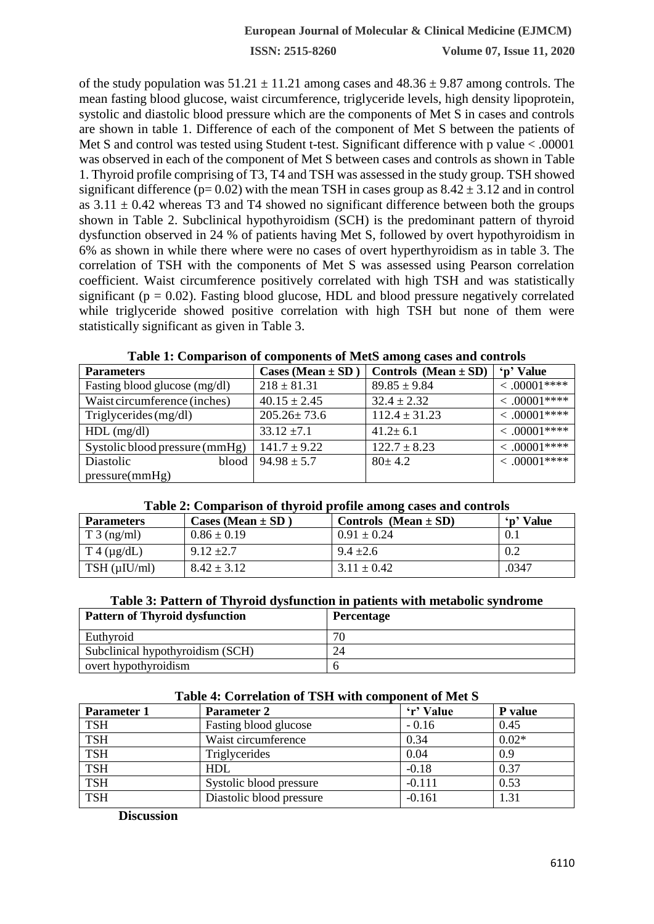**ISSN: 2515-8260 Volume 07, Issue 11, 2020**

of the study population was  $51.21 \pm 11.21$  among cases and  $48.36 \pm 9.87$  among controls. The mean fasting blood glucose, waist circumference, triglyceride levels, high density lipoprotein, systolic and diastolic blood pressure which are the components of Met S in cases and controls are shown in table 1. Difference of each of the component of Met S between the patients of Met S and control was tested using Student t-test. Significant difference with p value < .00001 was observed in each of the component of Met S between cases and controls as shown in Table 1. Thyroid profile comprising of T3, T4 and TSH was assessed in the study group. TSH showed significant difference ( $p= 0.02$ ) with the mean TSH in cases group as  $8.42 \pm 3.12$  and in control as  $3.11 \pm 0.42$  whereas T3 and T4 showed no significant difference between both the groups shown in Table 2. Subclinical hypothyroidism (SCH) is the predominant pattern of thyroid dysfunction observed in 24 % of patients having Met S, followed by overt hypothyroidism in 6% as shown in while there where were no cases of overt hyperthyroidism as in table 3. The correlation of TSH with the components of Met S was assessed using Pearson correlation coefficient. Waist circumference positively correlated with high TSH and was statistically significant ( $p = 0.02$ ). Fasting blood glucose, HDL and blood pressure negatively correlated while triglyceride showed positive correlation with high TSH but none of them were statistically significant as given in Table 3.

| <b>Parameters</b>              | Cases (Mean $\pm$ SD | Controls (Mean $\pm$ SD) | 'n' Value          |
|--------------------------------|----------------------|--------------------------|--------------------|
| Fasting blood glucose (mg/dl)  | $218 \pm 81.31$      | $89.85 \pm 9.84$         | $\leq .00001***$   |
| Waist circumference (inches)   | $40.15 \pm 2.45$     | $32.4 \pm 2.32$          | $\leq .00001$ **** |
| Triglycerides (mg/dl)          | $205.26 \pm 73.6$    | $112.4 \pm 31.23$        | $\leq .00001$ **** |
| $HDL$ (mg/dl)                  | $33.12 \pm 7.1$      | $41.2 \pm 6.1$           | $\leq .00001$ **** |
| Systolic blood pressure (mmHg) | $141.7 \pm 9.22$     | $122.7 \pm 8.23$         | $\leq .00001***$   |
| Diastolic<br>blood             | $94.98 \pm 5.7$      | $80 \pm 4.2$             | $\leq .00001***$   |
| pressure(mmHg)                 |                      |                          |                    |

**Table 1: Comparison of components of MetS among cases and controls**

| Table 2: Comparison of thyroid profile among cases and controls |  |  |
|-----------------------------------------------------------------|--|--|
|                                                                 |  |  |

| <b>Parameters</b>    | Cases (Mean $\pm$ SD | Controls (Mean $\pm$ SD) | 'p' Value |
|----------------------|----------------------|--------------------------|-----------|
| $T_3$ (ng/ml)        | $0.86 \pm 0.19$      | $0.91 \pm 0.24$          |           |
| $T_4(\mu g/dL)$      | $9.12 \pm 2.7$       | $9.4 \pm 2.6$            | 0.2       |
| $TSH$ ( $\mu$ IU/ml) | $8.42 \pm 3.12$      | $3.11 \pm 0.42$          | .0347     |

#### **Table 3: Pattern of Thyroid dysfunction in patients with metabolic syndrome**

| <b>Pattern of Thyroid dysfunction</b> | <b>Percentage</b> |
|---------------------------------------|-------------------|
| Euthyroid                             | 70                |
| Subclinical hypothyroidism (SCH)      | 24                |
| overt hypothyroidism                  |                   |

| <b>Parameter 1</b> | Parameter 2              | 'r' Value | P value |
|--------------------|--------------------------|-----------|---------|
| <b>TSH</b>         | Fasting blood glucose    | $-0.16$   | 0.45    |
| <b>TSH</b>         | Waist circumference      | 0.34      | $0.02*$ |
| <b>TSH</b>         | Triglycerides            | 0.04      | 0.9     |
| <b>TSH</b>         | <b>HDL</b>               | $-0.18$   | 0.37    |
| <b>TSH</b>         | Systolic blood pressure  | $-0.111$  | 0.53    |
| <b>TSH</b>         | Diastolic blood pressure | $-0.161$  | 1.31    |
|                    |                          |           |         |

#### **Table 4: Correlation of TSH with component of Met S**

**Discussion**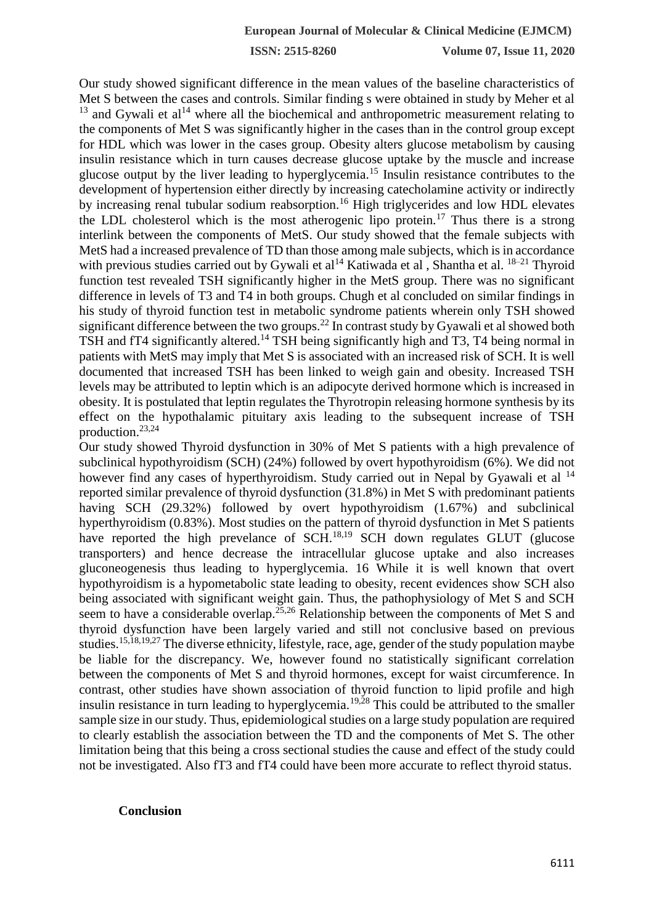**ISSN: 2515-8260 Volume 07, Issue 11, 2020**

Our study showed significant difference in the mean values of the baseline characteristics of Met S between the cases and controls. Similar finding s were obtained in study by Meher et al  $13$  and Gywali et al<sup>14</sup> where all the biochemical and anthropometric measurement relating to the components of Met S was significantly higher in the cases than in the control group except for HDL which was lower in the cases group. Obesity alters glucose metabolism by causing insulin resistance which in turn causes decrease glucose uptake by the muscle and increase glucose output by the liver leading to hyperglycemia.<sup>15</sup> Insulin resistance contributes to the development of hypertension either directly by increasing catecholamine activity or indirectly by increasing renal tubular sodium reabsorption.<sup>16</sup> High triglycerides and low HDL elevates the LDL cholesterol which is the most atherogenic lipo protein.<sup>17</sup> Thus there is a strong interlink between the components of MetS. Our study showed that the female subjects with MetS had a increased prevalence of TD than those among male subjects, which is in accordance with previous studies carried out by Gywali et al<sup>14</sup> Katiwada et al, Shantha et al.  $18-21$  Thyroid function test revealed TSH significantly higher in the MetS group. There was no significant difference in levels of T3 and T4 in both groups. Chugh et al concluded on similar findings in his study of thyroid function test in metabolic syndrome patients wherein only TSH showed significant difference between the two groups.<sup>22</sup> In contrast study by Gyawali et al showed both TSH and fT4 significantly altered.<sup>14</sup> TSH being significantly high and T3, T4 being normal in patients with MetS may imply that Met S is associated with an increased risk of SCH. It is well documented that increased TSH has been linked to weigh gain and obesity. Increased TSH levels may be attributed to leptin which is an adipocyte derived hormone which is increased in obesity. It is postulated that leptin regulates the Thyrotropin releasing hormone synthesis by its effect on the hypothalamic pituitary axis leading to the subsequent increase of TSH production.23,24

Our study showed Thyroid dysfunction in 30% of Met S patients with a high prevalence of subclinical hypothyroidism (SCH) (24%) followed by overt hypothyroidism (6%). We did not however find any cases of hyperthyroidism. Study carried out in Nepal by Gyawali et al <sup>14</sup> reported similar prevalence of thyroid dysfunction (31.8%) in Met S with predominant patients having SCH (29.32%) followed by overt hypothyroidism (1.67%) and subclinical hyperthyroidism (0.83%). Most studies on the pattern of thyroid dysfunction in Met S patients have reported the high prevelance of SCH.<sup>18,19</sup> SCH down regulates GLUT (glucose transporters) and hence decrease the intracellular glucose uptake and also increases gluconeogenesis thus leading to hyperglycemia. 16 While it is well known that overt hypothyroidism is a hypometabolic state leading to obesity, recent evidences show SCH also being associated with significant weight gain. Thus, the pathophysiology of Met S and SCH seem to have a considerable overlap.<sup>25,26</sup> Relationship between the components of Met S and thyroid dysfunction have been largely varied and still not conclusive based on previous studies.<sup>15,18,19,27</sup> The diverse ethnicity, lifestyle, race, age, gender of the study population maybe be liable for the discrepancy. We, however found no statistically significant correlation between the components of Met S and thyroid hormones, except for waist circumference. In contrast, other studies have shown association of thyroid function to lipid profile and high insulin resistance in turn leading to hyperglycemia.<sup>19,28</sup> This could be attributed to the smaller sample size in our study. Thus, epidemiological studies on a large study population are required to clearly establish the association between the TD and the components of Met S. The other limitation being that this being a cross sectional studies the cause and effect of the study could not be investigated. Also fT3 and fT4 could have been more accurate to reflect thyroid status.

#### **Conclusion**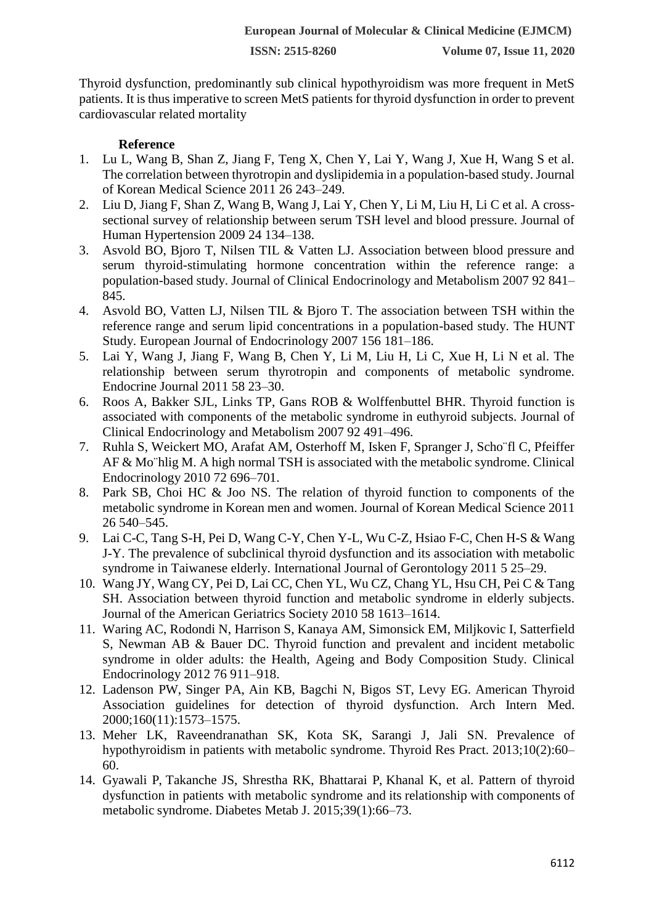Thyroid dysfunction, predominantly sub clinical hypothyroidism was more frequent in MetS patients. It is thus imperative to screen MetS patients for thyroid dysfunction in order to prevent cardiovascular related mortality

## **Reference**

- 1. Lu L, Wang B, Shan Z, Jiang F, Teng X, Chen Y, Lai Y, Wang J, Xue H, Wang S et al. The correlation between thyrotropin and dyslipidemia in a population-based study. Journal of Korean Medical Science 2011 26 243–249.
- 2. Liu D, Jiang F, Shan Z, Wang B, Wang J, Lai Y, Chen Y, Li M, Liu H, Li C et al. A crosssectional survey of relationship between serum TSH level and blood pressure. Journal of Human Hypertension 2009 24 134–138.
- 3. Asvold BO, Bjoro T, Nilsen TIL & Vatten LJ. Association between blood pressure and serum thyroid-stimulating hormone concentration within the reference range: a population-based study. Journal of Clinical Endocrinology and Metabolism 2007 92 841– 845.
- 4. Asvold BO, Vatten LJ, Nilsen TIL & Bjoro T. The association between TSH within the reference range and serum lipid concentrations in a population-based study. The HUNT Study. European Journal of Endocrinology 2007 156 181–186.
- 5. Lai Y, Wang J, Jiang F, Wang B, Chen Y, Li M, Liu H, Li C, Xue H, Li N et al. The relationship between serum thyrotropin and components of metabolic syndrome. Endocrine Journal 2011 58 23–30.
- 6. Roos A, Bakker SJL, Links TP, Gans ROB & Wolffenbuttel BHR. Thyroid function is associated with components of the metabolic syndrome in euthyroid subjects. Journal of Clinical Endocrinology and Metabolism 2007 92 491–496.
- 7. Ruhla S, Weickert MO, Arafat AM, Osterhoff M, Isken F, Spranger J, Scho¨fl C, Pfeiffer AF & Mo¨hlig M. A high normal TSH is associated with the metabolic syndrome. Clinical Endocrinology 2010 72 696–701.
- 8. Park SB, Choi HC & Joo NS. The relation of thyroid function to components of the metabolic syndrome in Korean men and women. Journal of Korean Medical Science 2011 26 540–545.
- 9. Lai C-C, Tang S-H, Pei D, Wang C-Y, Chen Y-L, Wu C-Z, Hsiao F-C, Chen H-S & Wang J-Y. The prevalence of subclinical thyroid dysfunction and its association with metabolic syndrome in Taiwanese elderly. International Journal of Gerontology 2011 5 25–29.
- 10. Wang JY, Wang CY, Pei D, Lai CC, Chen YL, Wu CZ, Chang YL, Hsu CH, Pei C & Tang SH. Association between thyroid function and metabolic syndrome in elderly subjects. Journal of the American Geriatrics Society 2010 58 1613–1614.
- 11. Waring AC, Rodondi N, Harrison S, Kanaya AM, Simonsick EM, Miljkovic I, Satterfield S, Newman AB & Bauer DC. Thyroid function and prevalent and incident metabolic syndrome in older adults: the Health, Ageing and Body Composition Study. Clinical Endocrinology 2012 76 911–918.
- 12. Ladenson PW, Singer PA, Ain KB, Bagchi N, Bigos ST, Levy EG. American Thyroid Association guidelines for detection of thyroid dysfunction. Arch Intern Med. 2000;160(11):1573–1575.
- 13. Meher LK, Raveendranathan SK, Kota SK, Sarangi J, Jali SN. Prevalence of hypothyroidism in patients with metabolic syndrome. Thyroid Res Pract. 2013;10(2):60– 60.
- 14. Gyawali P, Takanche JS, Shrestha RK, Bhattarai P, Khanal K, et al. Pattern of thyroid dysfunction in patients with metabolic syndrome and its relationship with components of metabolic syndrome. Diabetes Metab J. 2015;39(1):66–73.